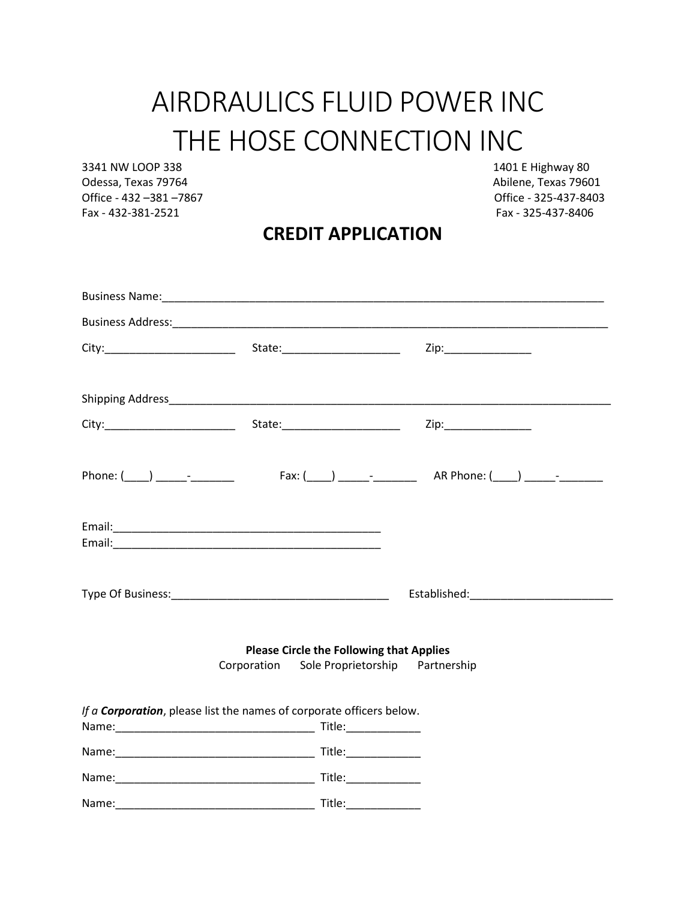# AIRDRAULICS FLUID POWER INC THE HOSE CONNECTION INC

3341 NW LOOP 338 1401 E Highway 80 Odessa, Texas 79764 **Abilene**, Texas 79601 Office - 432 –381 –7867 Office - 325-437-8403 Fax - 432-381-2521 Fax - 325-437-8406

#### **CREDIT APPLICATION**

|                                                                              |                                                 | Zip:_________________ |
|------------------------------------------------------------------------------|-------------------------------------------------|-----------------------|
|                                                                              |                                                 |                       |
|                                                                              |                                                 |                       |
|                                                                              |                                                 |                       |
|                                                                              |                                                 |                       |
|                                                                              |                                                 |                       |
|                                                                              |                                                 |                       |
|                                                                              |                                                 |                       |
|                                                                              | <b>Please Circle the Following that Applies</b> |                       |
|                                                                              | Corporation Sole Proprietorship Partnership     |                       |
|                                                                              |                                                 |                       |
| If a <b>Corporation</b> , please list the names of corporate officers below. |                                                 |                       |
|                                                                              |                                                 |                       |
|                                                                              |                                                 |                       |
|                                                                              |                                                 |                       |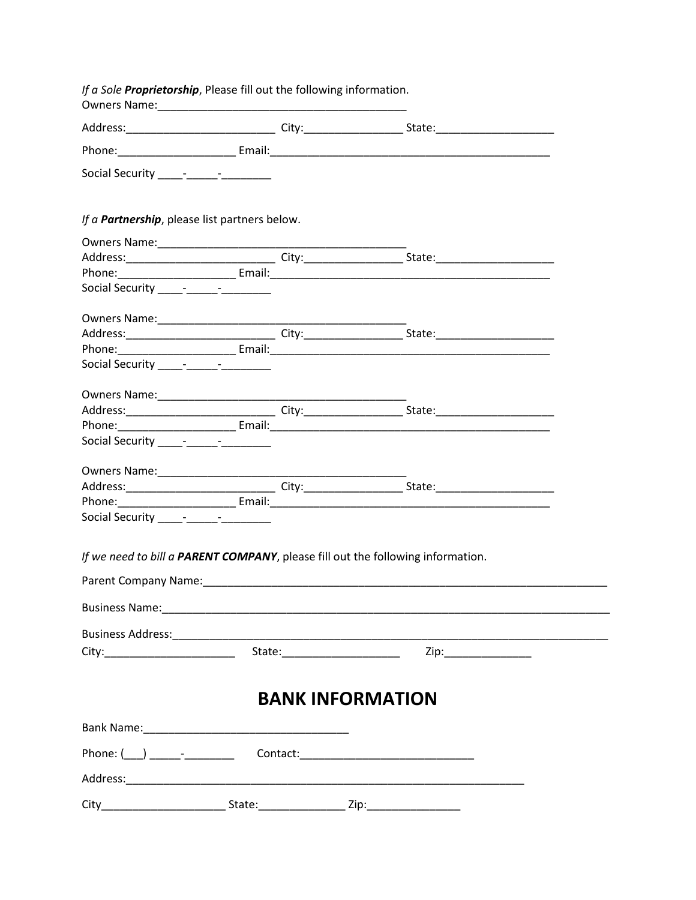| If a Sole Proprietorship, Please fill out the following information. |  |  |                                                                                                                                                                                                                               |  |
|----------------------------------------------------------------------|--|--|-------------------------------------------------------------------------------------------------------------------------------------------------------------------------------------------------------------------------------|--|
|                                                                      |  |  |                                                                                                                                                                                                                               |  |
|                                                                      |  |  |                                                                                                                                                                                                                               |  |
| Social Security ______________________                               |  |  |                                                                                                                                                                                                                               |  |
| If a <b>Partnership</b> , please list partners below.                |  |  |                                                                                                                                                                                                                               |  |
|                                                                      |  |  |                                                                                                                                                                                                                               |  |
|                                                                      |  |  |                                                                                                                                                                                                                               |  |
|                                                                      |  |  |                                                                                                                                                                                                                               |  |
| Social Security ______________________                               |  |  |                                                                                                                                                                                                                               |  |
|                                                                      |  |  |                                                                                                                                                                                                                               |  |
|                                                                      |  |  |                                                                                                                                                                                                                               |  |
|                                                                      |  |  |                                                                                                                                                                                                                               |  |
| Social Security <b>Figure 2018</b>                                   |  |  |                                                                                                                                                                                                                               |  |
|                                                                      |  |  |                                                                                                                                                                                                                               |  |
|                                                                      |  |  |                                                                                                                                                                                                                               |  |
|                                                                      |  |  |                                                                                                                                                                                                                               |  |
|                                                                      |  |  |                                                                                                                                                                                                                               |  |
|                                                                      |  |  |                                                                                                                                                                                                                               |  |
|                                                                      |  |  |                                                                                                                                                                                                                               |  |
|                                                                      |  |  |                                                                                                                                                                                                                               |  |
|                                                                      |  |  |                                                                                                                                                                                                                               |  |
| Social Security ____________________                                 |  |  |                                                                                                                                                                                                                               |  |
|                                                                      |  |  | If we need to bill a PARENT COMPANY, please fill out the following information.                                                                                                                                               |  |
|                                                                      |  |  | Parent Company Name: Name and Second Company of the Company Name and Second Company of the Company of the Company of the Company of the Company of the Company of the Company of the Company of the Company of the Company of |  |
|                                                                      |  |  |                                                                                                                                                                                                                               |  |
|                                                                      |  |  |                                                                                                                                                                                                                               |  |
|                                                                      |  |  |                                                                                                                                                                                                                               |  |
|                                                                      |  |  |                                                                                                                                                                                                                               |  |
|                                                                      |  |  | <b>BANK INFORMATION</b>                                                                                                                                                                                                       |  |
|                                                                      |  |  |                                                                                                                                                                                                                               |  |
|                                                                      |  |  |                                                                                                                                                                                                                               |  |
|                                                                      |  |  |                                                                                                                                                                                                                               |  |
|                                                                      |  |  |                                                                                                                                                                                                                               |  |
|                                                                      |  |  |                                                                                                                                                                                                                               |  |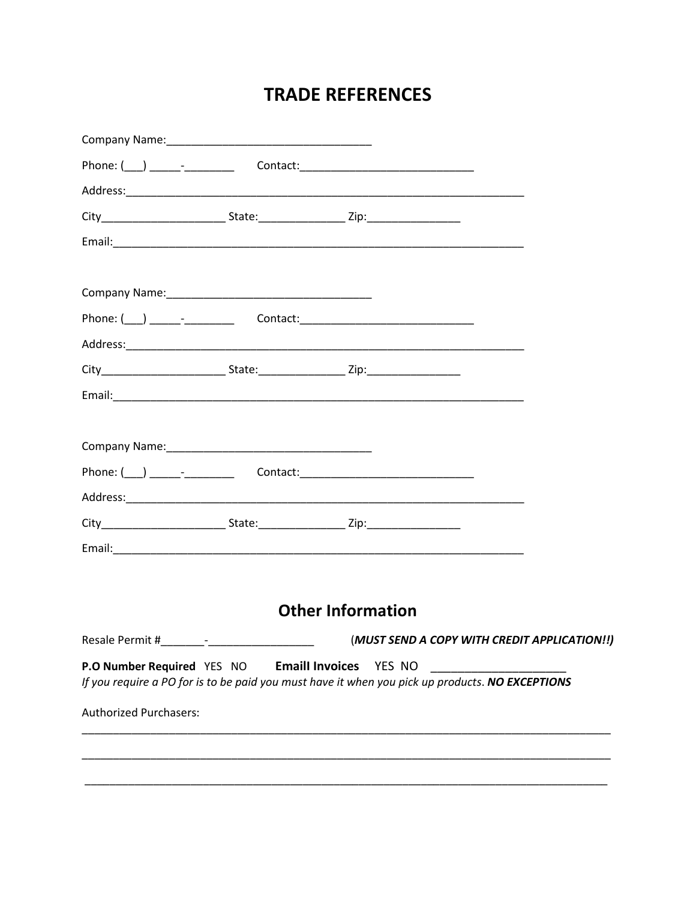#### **TRADE REFERENCES**

|                                   | <b>Other Information</b>                                                                                                         |                                              |
|-----------------------------------|----------------------------------------------------------------------------------------------------------------------------------|----------------------------------------------|
|                                   |                                                                                                                                  | (MUST SEND A COPY WITH CREDIT APPLICATION!!) |
| <b>P.O Number Required YES NO</b> | <b>Emaill Invoices YES NO</b><br>If you require a PO for is to be paid you must have it when you pick up products. NO EXCEPTIONS |                                              |
| <b>Authorized Purchasers:</b>     |                                                                                                                                  |                                              |
|                                   |                                                                                                                                  |                                              |
|                                   |                                                                                                                                  |                                              |
|                                   |                                                                                                                                  |                                              |
|                                   |                                                                                                                                  |                                              |